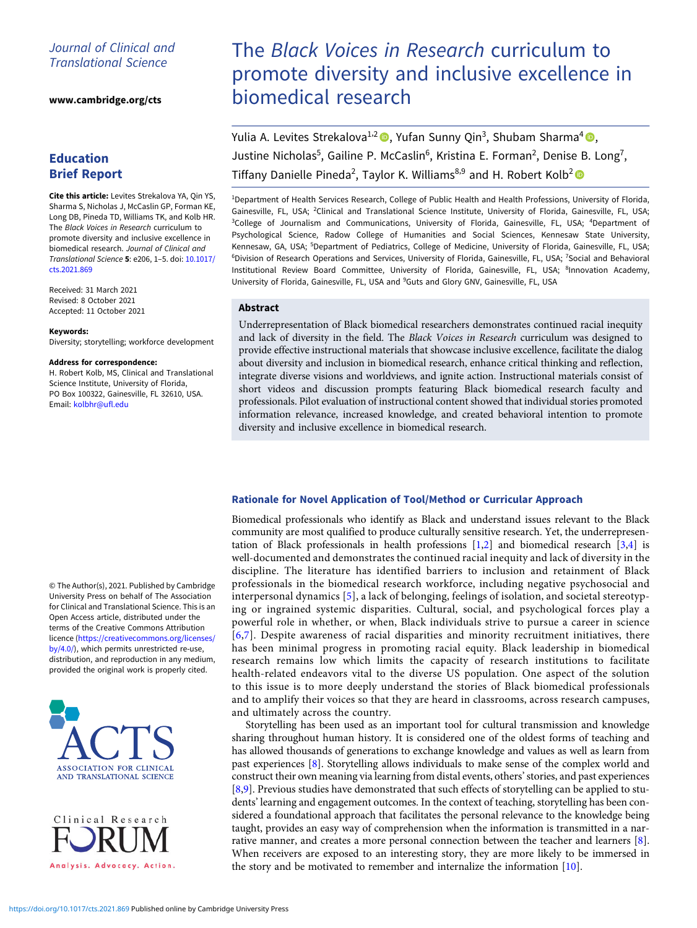## Journal of Clinical and Translational Science

[www.cambridge.org/cts](https://www.cambridge.org/cts)

# Education Brief Report

Cite this article: Levites Strekalova YA, Qin YS, Sharma S, Nicholas J, McCaslin GP, Forman KE, Long DB, Pineda TD, Williams TK, and Kolb HR. The Black Voices in Research curriculum to promote diversity and inclusive excellence in biomedical research. Journal of Clinical and Translational Science 5: e206, 1–5. doi: [10.1017/](https://doi.org/10.1017/cts.2021.869) [cts.2021.869](https://doi.org/10.1017/cts.2021.869)

Received: 31 March 2021 Revised: 8 October 2021 Accepted: 11 October 2021

#### Keywords:

Diversity; storytelling; workforce development

#### Address for correspondence:

H. Robert Kolb, MS, Clinical and Translational Science Institute, University of Florida, PO Box 100322, Gainesville, FL 32610, USA. Email: [kolbhr@ufl.edu](mailto:kolbhr@ufl.edu)

© The Author(s), 2021. Published by Cambridge University Press on behalf of The Association for Clinical and Translational Science. This is an Open Access article, distributed under the terms of the Creative Commons Attribution licence ([https://creativecommons.org/licenses/](https://creativecommons.org/licenses/by/4.0/) [by/4.0/](https://creativecommons.org/licenses/by/4.0/)), which permits unrestricted re-use, distribution, and reproduction in any medium, provided the original work is properly cited.



Clinical Research Analysis. Advocacy. Action.

# The Black Voices in Research curriculum to promote diversity and inclusive excellence in biomedical research

Yulia A. Levites Strekalova<sup>1,2</sup> (D. Yufan Sunny Qin<sup>3</sup>, Shubam Sharma<sup>4</sup> (D, Justine Nicholas<sup>5</sup>, Gailine P. McCaslin<sup>6</sup>, Kristina E. Forman<sup>2</sup>, Denise B. Long<sup>7</sup>, Tiffany Danielle Pineda<sup>2</sup>, Taylor K. Williams<sup>8,9</sup> and H. Robert Kolb<sup>2</sup>

1 Department of Health Services Research, College of Public Health and Health Professions, University of Florida, Gainesville, FL, USA; <sup>2</sup>Clinical and Translational Science Institute, University of Florida, Gainesville, FL, USA; <sup>3</sup>College of Journalism and Communications, University of Florida, Gainesville, FL, USA; <sup>4</sup>Department of Psychological Science, Radow College of Humanities and Social Sciences, Kennesaw State University, Kennesaw, GA, USA; <sup>5</sup>Department of Pediatrics, College of Medicine, University of Florida, Gainesville, FL, USA; <sup>6</sup>Division of Research Operations and Services, University of Florida, Gainesville, FL, USA; <sup>7</sup>Social and Behavioral Institutional Review Board Committee, University of Florida, Gainesville, FL, USA; 8Innovation Academy, University of Florida, Gainesville, FL, USA and <sup>9</sup>Guts and Glory GNV, Gainesville, FL, USA

## Abstract

Underrepresentation of Black biomedical researchers demonstrates continued racial inequity and lack of diversity in the field. The Black Voices in Research curriculum was designed to provide effective instructional materials that showcase inclusive excellence, facilitate the dialog about diversity and inclusion in biomedical research, enhance critical thinking and reflection, integrate diverse visions and worldviews, and ignite action. Instructional materials consist of short videos and discussion prompts featuring Black biomedical research faculty and professionals. Pilot evaluation of instructional content showed that individual stories promoted information relevance, increased knowledge, and created behavioral intention to promote diversity and inclusive excellence in biomedical research.

## Rationale for Novel Application of Tool/Method or Curricular Approach

Biomedical professionals who identify as Black and understand issues relevant to the Black community are most qualified to produce culturally sensitive research. Yet, the underrepresentation of Black professionals in health professions  $[1,2]$  $[1,2]$  and biomedical research  $[3,4]$  $[3,4]$  $[3,4]$  is well-documented and demonstrates the continued racial inequity and lack of diversity in the discipline. The literature has identified barriers to inclusion and retainment of Black professionals in the biomedical research workforce, including negative psychosocial and interpersonal dynamics [[5\]](#page-3-0), a lack of belonging, feelings of isolation, and societal stereotyping or ingrained systemic disparities. Cultural, social, and psychological forces play a powerful role in whether, or when, Black individuals strive to pursue a career in science [\[6,7](#page-3-0)]. Despite awareness of racial disparities and minority recruitment initiatives, there has been minimal progress in promoting racial equity. Black leadership in biomedical research remains low which limits the capacity of research institutions to facilitate health-related endeavors vital to the diverse US population. One aspect of the solution to this issue is to more deeply understand the stories of Black biomedical professionals and to amplify their voices so that they are heard in classrooms, across research campuses, and ultimately across the country.

Storytelling has been used as an important tool for cultural transmission and knowledge sharing throughout human history. It is considered one of the oldest forms of teaching and has allowed thousands of generations to exchange knowledge and values as well as learn from past experiences [[8](#page-3-0)]. Storytelling allows individuals to make sense of the complex world and construct their own meaning via learning from distal events, others'stories, and past experiences [\[8,9](#page-3-0)]. Previous studies have demonstrated that such effects of storytelling can be applied to students' learning and engagement outcomes. In the context of teaching, storytelling has been considered a foundational approach that facilitates the personal relevance to the knowledge being taught, provides an easy way of comprehension when the information is transmitted in a narrative manner, and creates a more personal connection between the teacher and learners [\[8\]](#page-3-0). When receivers are exposed to an interesting story, they are more likely to be immersed in the story and be motivated to remember and internalize the information [\[10](#page-3-0)].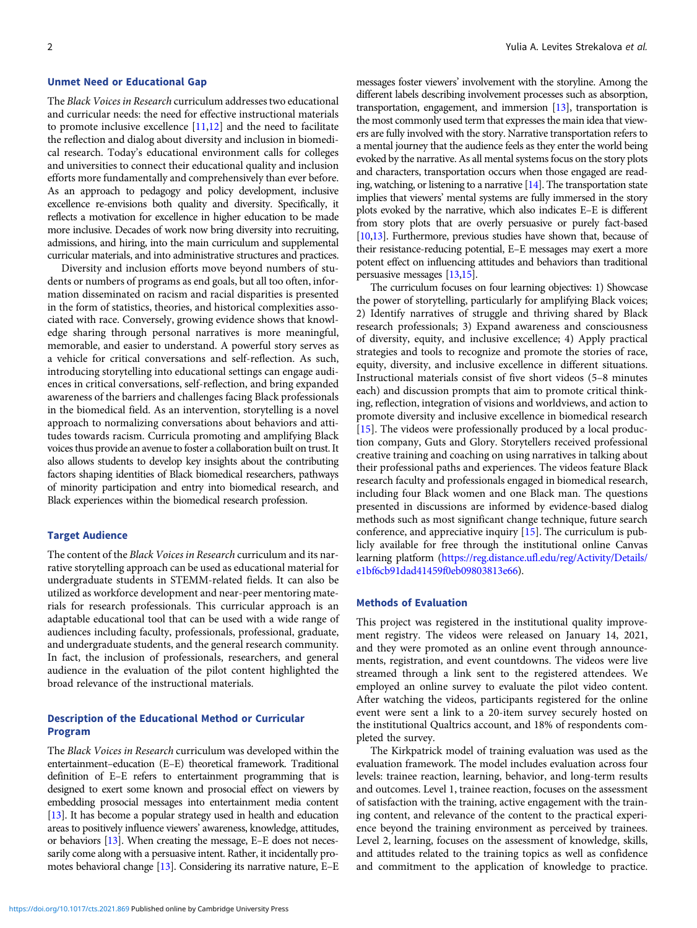## Unmet Need or Educational Gap

The Black Voices in Research curriculum addresses two educational and curricular needs: the need for effective instructional materials to promote inclusive excellence  $[11,12]$  $[11,12]$  and the need to facilitate the reflection and dialog about diversity and inclusion in biomedical research. Today's educational environment calls for colleges and universities to connect their educational quality and inclusion efforts more fundamentally and comprehensively than ever before. As an approach to pedagogy and policy development, inclusive excellence re-envisions both quality and diversity. Specifically, it reflects a motivation for excellence in higher education to be made more inclusive. Decades of work now bring diversity into recruiting, admissions, and hiring, into the main curriculum and supplemental curricular materials, and into administrative structures and practices.

Diversity and inclusion efforts move beyond numbers of students or numbers of programs as end goals, but all too often, information disseminated on racism and racial disparities is presented in the form of statistics, theories, and historical complexities associated with race. Conversely, growing evidence shows that knowledge sharing through personal narratives is more meaningful, memorable, and easier to understand. A powerful story serves as a vehicle for critical conversations and self-reflection. As such, introducing storytelling into educational settings can engage audiences in critical conversations, self-reflection, and bring expanded awareness of the barriers and challenges facing Black professionals in the biomedical field. As an intervention, storytelling is a novel approach to normalizing conversations about behaviors and attitudes towards racism. Curricula promoting and amplifying Black voices thus provide an avenue to foster a collaboration built on trust. It also allows students to develop key insights about the contributing factors shaping identities of Black biomedical researchers, pathways of minority participation and entry into biomedical research, and Black experiences within the biomedical research profession.

## Target Audience

The content of the Black Voices in Research curriculum and its narrative storytelling approach can be used as educational material for undergraduate students in STEMM-related fields. It can also be utilized as workforce development and near-peer mentoring materials for research professionals. This curricular approach is an adaptable educational tool that can be used with a wide range of audiences including faculty, professionals, professional, graduate, and undergraduate students, and the general research community. In fact, the inclusion of professionals, researchers, and general audience in the evaluation of the pilot content highlighted the broad relevance of the instructional materials.

## Description of the Educational Method or Curricular Program

The Black Voices in Research curriculum was developed within the entertainment–education (E–E) theoretical framework. Traditional definition of E–E refers to entertainment programming that is designed to exert some known and prosocial effect on viewers by embedding prosocial messages into entertainment media content [[13](#page-3-0)]. It has become a popular strategy used in health and education areas to positively influence viewers' awareness, knowledge, attitudes, or behaviors [\[13\]](#page-3-0). When creating the message, E–E does not necessarily come along with a persuasive intent. Rather, it incidentally promotes behavioral change [[13](#page-3-0)]. Considering its narrative nature, E–E

messages foster viewers' involvement with the storyline. Among the different labels describing involvement processes such as absorption, transportation, engagement, and immersion [[13\]](#page-3-0), transportation is the most commonly used term that expresses the main idea that viewers are fully involved with the story. Narrative transportation refers to a mental journey that the audience feels as they enter the world being evoked by the narrative. As all mental systems focus on the story plots and characters, transportation occurs when those engaged are reading, watching, or listening to a narrative  $[14]$ . The transportation state implies that viewers' mental systems are fully immersed in the story plots evoked by the narrative, which also indicates E–E is different from story plots that are overly persuasive or purely fact-based [[10,13\]](#page-3-0). Furthermore, previous studies have shown that, because of their resistance-reducing potential, E–E messages may exert a more potent effect on influencing attitudes and behaviors than traditional persuasive messages [[13](#page-3-0)[,15](#page-4-0)].

The curriculum focuses on four learning objectives: 1) Showcase the power of storytelling, particularly for amplifying Black voices; 2) Identify narratives of struggle and thriving shared by Black research professionals; 3) Expand awareness and consciousness of diversity, equity, and inclusive excellence; 4) Apply practical strategies and tools to recognize and promote the stories of race, equity, diversity, and inclusive excellence in different situations. Instructional materials consist of five short videos (5–8 minutes each) and discussion prompts that aim to promote critical thinking, reflection, integration of visions and worldviews, and action to promote diversity and inclusive excellence in biomedical research [[15\]](#page-4-0). The videos were professionally produced by a local production company, Guts and Glory. Storytellers received professional creative training and coaching on using narratives in talking about their professional paths and experiences. The videos feature Black research faculty and professionals engaged in biomedical research, including four Black women and one Black man. The questions presented in discussions are informed by evidence-based dialog methods such as most significant change technique, future search conference, and appreciative inquiry [\[15](#page-4-0)]. The curriculum is publicly available for free through the institutional online Canvas learning platform [\(https://reg.distance.ufl.edu/reg/Activity/Details/](https://reg.distance.ufl.edu/reg/Activity/Details/e1bf6cb91dad41459f0eb09803813e66) [e1bf6cb91dad41459f0eb09803813e66](https://reg.distance.ufl.edu/reg/Activity/Details/e1bf6cb91dad41459f0eb09803813e66)).

#### Methods of Evaluation

This project was registered in the institutional quality improvement registry. The videos were released on January 14, 2021, and they were promoted as an online event through announcements, registration, and event countdowns. The videos were live streamed through a link sent to the registered attendees. We employed an online survey to evaluate the pilot video content. After watching the videos, participants registered for the online event were sent a link to a 20-item survey securely hosted on the institutional Qualtrics account, and 18% of respondents completed the survey.

The Kirkpatrick model of training evaluation was used as the evaluation framework. The model includes evaluation across four levels: trainee reaction, learning, behavior, and long-term results and outcomes. Level 1, trainee reaction, focuses on the assessment of satisfaction with the training, active engagement with the training content, and relevance of the content to the practical experience beyond the training environment as perceived by trainees. Level 2, learning, focuses on the assessment of knowledge, skills, and attitudes related to the training topics as well as confidence and commitment to the application of knowledge to practice.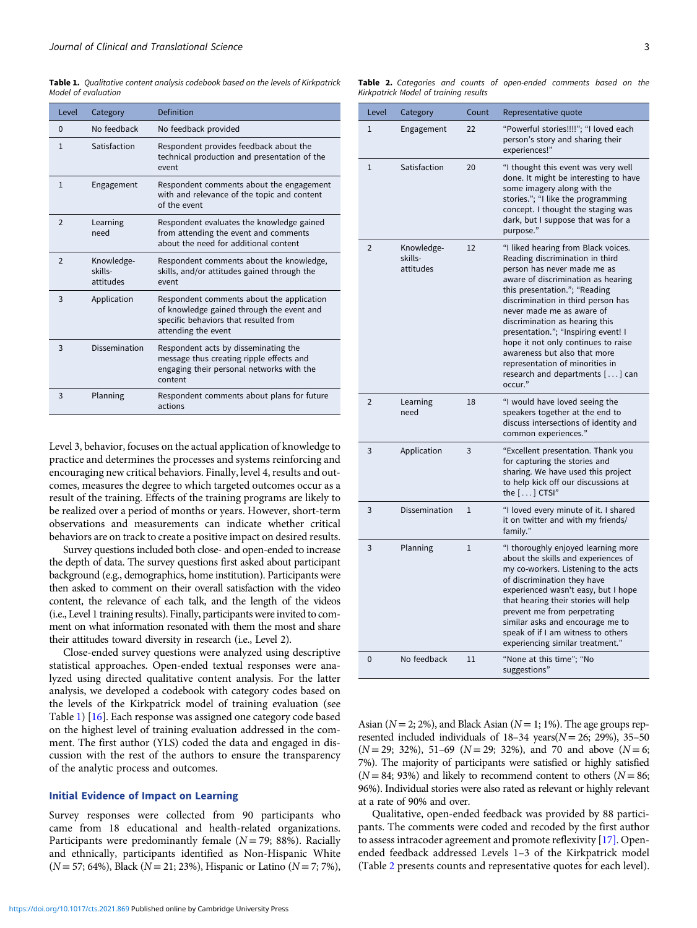Table 1. Qualitative content analysis codebook based on the levels of Kirkpatrick Model of evaluation

| Level          | Category                           | <b>Definition</b>                                                                                                                                      |  |
|----------------|------------------------------------|--------------------------------------------------------------------------------------------------------------------------------------------------------|--|
| $\Omega$       | No feedback                        | No feedback provided                                                                                                                                   |  |
| $\mathbf{1}$   | Satisfaction                       | Respondent provides feedback about the<br>technical production and presentation of the<br>event                                                        |  |
| $\mathbf{1}$   | Engagement                         | Respondent comments about the engagement<br>with and relevance of the topic and content<br>of the event                                                |  |
| $\overline{2}$ | Learning<br>need                   | Respondent evaluates the knowledge gained<br>from attending the event and comments<br>about the need for additional content                            |  |
| $\overline{2}$ | Knowledge-<br>skills-<br>attitudes | Respondent comments about the knowledge,<br>skills, and/or attitudes gained through the<br>event                                                       |  |
| 3              | Application                        | Respondent comments about the application<br>of knowledge gained through the event and<br>specific behaviors that resulted from<br>attending the event |  |
| 3              | Dissemination                      | Respondent acts by disseminating the<br>message thus creating ripple effects and<br>engaging their personal networks with the<br>content               |  |
| 3              | Planning                           | Respondent comments about plans for future<br>actions                                                                                                  |  |

Level 3, behavior, focuses on the actual application of knowledge to practice and determines the processes and systems reinforcing and encouraging new critical behaviors. Finally, level 4, results and outcomes, measures the degree to which targeted outcomes occur as a result of the training. Effects of the training programs are likely to be realized over a period of months or years. However, short-term observations and measurements can indicate whether critical behaviors are on track to create a positive impact on desired results.

Survey questions included both close- and open-ended to increase the depth of data. The survey questions first asked about participant background (e.g., demographics, home institution). Participants were then asked to comment on their overall satisfaction with the video content, the relevance of each talk, and the length of the videos (i.e., Level 1 training results). Finally, participants were invited to comment on what information resonated with them the most and share their attitudes toward diversity in research (i.e., Level 2).

Close-ended survey questions were analyzed using descriptive statistical approaches. Open-ended textual responses were analyzed using directed qualitative content analysis. For the latter analysis, we developed a codebook with category codes based on the levels of the Kirkpatrick model of training evaluation (see Table 1) [\[16](#page-4-0)]. Each response was assigned one category code based on the highest level of training evaluation addressed in the comment. The first author (YLS) coded the data and engaged in discussion with the rest of the authors to ensure the transparency of the analytic process and outcomes.

#### Initial Evidence of Impact on Learning

Survey responses were collected from 90 participants who came from 18 educational and health-related organizations. Participants were predominantly female  $(N = 79; 88%)$ . Racially and ethnically, participants identified as Non-Hispanic White  $(N = 57; 64\%)$ , Black  $(N = 21; 23\%)$ , Hispanic or Latino  $(N = 7; 7\%)$ ,

Table 2. Categories and counts of open-ended comments based on the Kirkpatrick Model of training results

| Level          | Category                           | Count        | Representative quote                                                                                                                                                                                                                                                                                                                                                                                                                                                             |
|----------------|------------------------------------|--------------|----------------------------------------------------------------------------------------------------------------------------------------------------------------------------------------------------------------------------------------------------------------------------------------------------------------------------------------------------------------------------------------------------------------------------------------------------------------------------------|
| $\mathbf{1}$   | Engagement                         | 22           | "Powerful stories!!!!"; "I loved each<br>person's story and sharing their<br>experiences!"                                                                                                                                                                                                                                                                                                                                                                                       |
| $\mathbf{1}$   | Satisfaction                       | 20           | "I thought this event was very well<br>done. It might be interesting to have<br>some imagery along with the<br>stories."; "I like the programming<br>concept. I thought the staging was<br>dark, but I suppose that was for a<br>purpose."                                                                                                                                                                                                                                       |
| $\overline{2}$ | Knowledge-<br>skills-<br>attitudes | 12           | "I liked hearing from Black voices.<br>Reading discrimination in third<br>person has never made me as<br>aware of discrimination as hearing<br>this presentation."; "Reading<br>discrimination in third person has<br>never made me as aware of<br>discrimination as hearing this<br>presentation."; "Inspiring event! I<br>hope it not only continues to raise<br>awareness but also that more<br>representation of minorities in<br>research and departments [] can<br>occur." |
| 2              | Learning<br>need                   | 18           | "I would have loved seeing the<br>speakers together at the end to<br>discuss intersections of identity and<br>common experiences."                                                                                                                                                                                                                                                                                                                                               |
| 3              | Application                        | 3            | "Excellent presentation. Thank you<br>for capturing the stories and<br>sharing. We have used this project<br>to help kick off our discussions at<br>the $[\dots]$ CTSI"                                                                                                                                                                                                                                                                                                          |
| 3              | Dissemination                      | $\mathbf{1}$ | "I loved every minute of it. I shared<br>it on twitter and with my friends/<br>family."                                                                                                                                                                                                                                                                                                                                                                                          |
| 3              | Planning                           | $\mathbf{1}$ | "I thoroughly enjoyed learning more<br>about the skills and experiences of<br>my co-workers. Listening to the acts<br>of discrimination they have<br>experienced wasn't easy, but I hope<br>that hearing their stories will help<br>prevent me from perpetrating<br>similar asks and encourage me to<br>speak of if I am witness to others<br>experiencing similar treatment."                                                                                                   |
| 0              | No feedback                        | 11           | "None at this time": "No<br>suggestions"                                                                                                                                                                                                                                                                                                                                                                                                                                         |

Asian ( $N = 2$ ; 2%), and Black Asian ( $N = 1$ ; 1%). The age groups represented included individuals of  $18-34$  years( $N = 26$ ; 29%), 35-50  $(N = 29; 32\%)$ , 51–69  $(N = 29; 32\%)$ , and 70 and above  $(N = 6;$ 7%). The majority of participants were satisfied or highly satisfied  $(N = 84; 93%)$  and likely to recommend content to others  $(N = 86;$ 96%). Individual stories were also rated as relevant or highly relevant at a rate of 90% and over.

Qualitative, open-ended feedback was provided by 88 participants. The comments were coded and recoded by the first author to assess intracoder agreement and promote reflexivity [\[17\].](#page-4-0) Openended feedback addressed Levels 1–3 of the Kirkpatrick model (Table 2 presents counts and representative quotes for each level).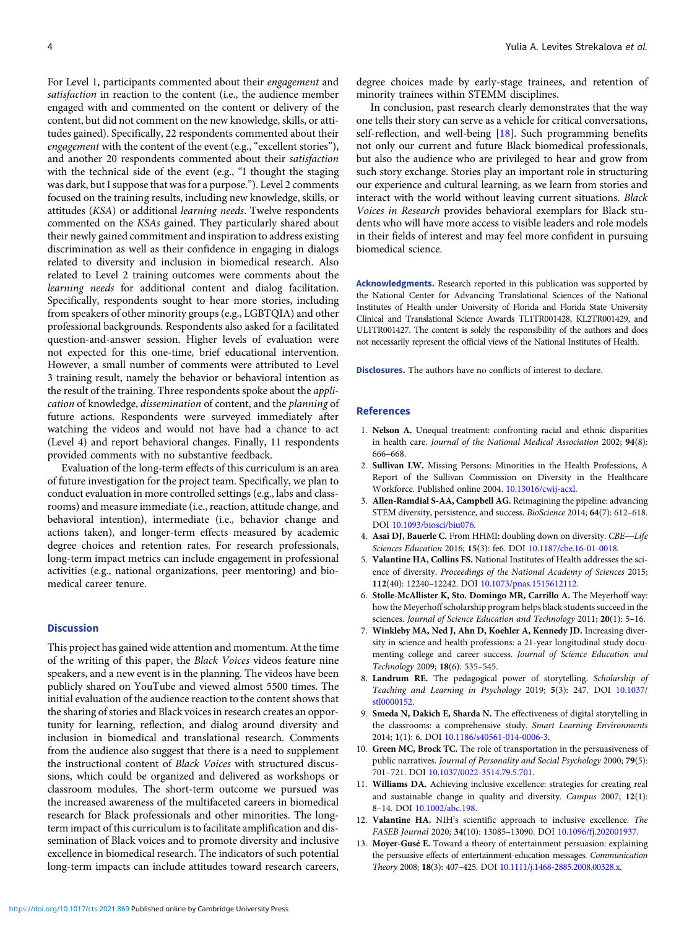<span id="page-3-0"></span>For Level 1, participants commented about their engagement and satisfaction in reaction to the content (i.e., the audience member engaged with and commented on the content or delivery of the content, but did not comment on the new knowledge, skills, or attitudes gained). Specifically, 22 respondents commented about their engagement with the content of the event (e.g., "excellent stories"), and another 20 respondents commented about their satisfaction with the technical side of the event (e.g., "I thought the staging was dark, but I suppose that was for a purpose."). Level 2 comments focused on the training results, including new knowledge, skills, or attitudes (KSA) or additional learning needs. Twelve respondents commented on the KSAs gained. They particularly shared about their newly gained commitment and inspiration to address existing discrimination as well as their confidence in engaging in dialogs related to diversity and inclusion in biomedical research. Also related to Level 2 training outcomes were comments about the learning needs for additional content and dialog facilitation. Specifically, respondents sought to hear more stories, including from speakers of other minority groups (e.g., LGBTQIA) and other professional backgrounds. Respondents also asked for a facilitated question-and-answer session. Higher levels of evaluation were not expected for this one-time, brief educational intervention. However, a small number of comments were attributed to Level 3 training result, namely the behavior or behavioral intention as the result of the training. Three respondents spoke about the application of knowledge, dissemination of content, and the planning of future actions. Respondents were surveyed immediately after watching the videos and would not have had a chance to act (Level 4) and report behavioral changes. Finally, 11 respondents provided comments with no substantive feedback.

Evaluation of the long-term effects of this curriculum is an area of future investigation for the project team. Specifically, we plan to conduct evaluation in more controlled settings (e.g., labs and classrooms) and measure immediate (i.e., reaction, attitude change, and behavioral intention), intermediate (i.e., behavior change and actions taken), and longer-term effects measured by academic degree choices and retention rates. For research professionals, long-term impact metrics can include engagement in professional activities (e.g., national organizations, peer mentoring) and biomedical career tenure.

### **Discussion**

This project has gained wide attention and momentum. At the time of the writing of this paper, the Black Voices videos feature nine speakers, and a new event is in the planning. The videos have been publicly shared on YouTube and viewed almost 5500 times. The initial evaluation of the audience reaction to the content shows that the sharing of stories and Black voices in research creates an opportunity for learning, reflection, and dialog around diversity and inclusion in biomedical and translational research. Comments from the audience also suggest that there is a need to supplement the instructional content of Black Voices with structured discussions, which could be organized and delivered as workshops or classroom modules. The short-term outcome we pursued was the increased awareness of the multifaceted careers in biomedical research for Black professionals and other minorities. The longterm impact of this curriculum is to facilitate amplification and dissemination of Black voices and to promote diversity and inclusive excellence in biomedical research. The indicators of such potential long-term impacts can include attitudes toward research careers,

degree choices made by early-stage trainees, and retention of minority trainees within STEMM disciplines.

In conclusion, past research clearly demonstrates that the way one tells their story can serve as a vehicle for critical conversations, self-reflection, and well-being  $[18]$  $[18]$ . Such programming benefits not only our current and future Black biomedical professionals, but also the audience who are privileged to hear and grow from such story exchange. Stories play an important role in structuring our experience and cultural learning, as we learn from stories and interact with the world without leaving current situations. Black Voices in Research provides behavioral exemplars for Black students who will have more access to visible leaders and role models in their fields of interest and may feel more confident in pursuing biomedical science.

Acknowledgments. Research reported in this publication was supported by the National Center for Advancing Translational Sciences of the National Institutes of Health under University of Florida and Florida State University Clinical and Translational Science Awards TL1TR001428, KL2TR001429, and UL1TR001427. The content is solely the responsibility of the authors and does not necessarily represent the official views of the National Institutes of Health.

Disclosures. The authors have no conflicts of interest to declare.

#### References

- 1. Nelson A. Unequal treatment: confronting racial and ethnic disparities in health care. Journal of the National Medical Association 2002; 94(8): 666–668.
- 2. Sullivan LW. Missing Persons: Minorities in the Health Professions, A Report of the Sullivan Commission on Diversity in the Healthcare Workforce. Published online 2004. [10.13016/cwij-acxl.](https://doi.org/10.13016/cwij-acxl)
- 3. Allen-Ramdial S-AA, Campbell AG. Reimagining the pipeline: advancing STEM diversity, persistence, and success. BioScience 2014; 64(7): 612–618. DOI [10.1093/biosci/biu076.](https://doi.org/10.1093/biosci/biu076)
- 4. Asai DJ, Bauerle C. From HHMI: doubling down on diversity. CBE-Life Sciences Education 2016; 15(3): fe6. DOI [10.1187/cbe.16-01-0018](https://doi.org/10.1187/cbe.16-01-0018).
- 5. Valantine HA, Collins FS. National Institutes of Health addresses the science of diversity. Proceedings of the National Academy of Sciences 2015; 112(40): 12240–12242. DOI [10.1073/pnas.1515612112.](https://doi.org/10.1073/pnas.1515612112)
- 6. Stolle-McAllister K, Sto. Domingo MR, Carrillo A. The Meyerhoff way: how the Meyerhoff scholarship program helps black students succeed in the sciences. Journal of Science Education and Technology 2011; 20(1): 5-16.
- 7. Winkleby MA, Ned J, Ahn D, Koehler A, Kennedy JD. Increasing diversity in science and health professions: a 21-year longitudinal study documenting college and career success. Journal of Science Education and Technology 2009; 18(6): 535–545.
- 8. Landrum RE. The pedagogical power of storytelling. Scholarship of Teaching and Learning in Psychology 2019; 5(3): 247. DOI [10.1037/](https://doi.org/10.1037/stl0000152) [stl0000152](https://doi.org/10.1037/stl0000152).
- 9. Smeda N, Dakich E, Sharda N. The effectiveness of digital storytelling in the classrooms: a comprehensive study. Smart Learning Environments 2014; 1(1): 6. DOI [10.1186/s40561-014-0006-3](https://doi.org/10.1186/s40561-014-0006-3).
- 10. Green MC, Brock TC. The role of transportation in the persuasiveness of public narratives. Journal of Personality and Social Psychology 2000; 79(5): 701–721. DOI [10.1037/0022-3514.79.5.701.](https://doi.org/10.1037/0022-3514.79.5.701)
- 11. Williams DA. Achieving inclusive excellence: strategies for creating real and sustainable change in quality and diversity. Campus 2007; 12(1): 8–14. DOI [10.1002/abc.198.](https://doi.org/10.1002/abc.198)
- 12. Valantine HA. NIH's scientific approach to inclusive excellence. The FASEB Journal 2020; 34(10): 13085–13090. DOI [10.1096/fj.202001937](https://doi.org/10.1096/fj.202001937).
- 13. Moyer-Gusé E. Toward a theory of entertainment persuasion: explaining the persuasive effects of entertainment-education messages. Communication Theory 2008; 18(3): 407–425. DOI [10.1111/j.1468-2885.2008.00328.x.](https://doi.org/10.1111/j.1468-2885.2008.00328.x)